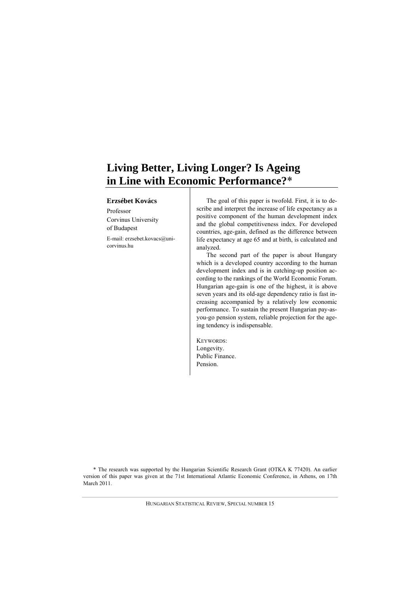# **Living Better, Living Longer? Is Ageing in Line with Economic Performance?**\*

#### **Erzsébet Kovács**

Professor Corvinus University of Budapest E-mail: erzsebet.kovacs@unicorvinus.hu

The goal of this paper is twofold. First, it is to describe and interpret the increase of life expectancy as a positive component of the human development index and the global competitiveness index. For developed countries, age-gain, defined as the difference between life expectancy at age 65 and at birth, is calculated and analyzed.

The second part of the paper is about Hungary which is a developed country according to the human development index and is in catching-up position according to the rankings of the World Economic Forum. Hungarian age-gain is one of the highest, it is above seven years and its old-age dependency ratio is fast increasing accompanied by a relatively low economic performance. To sustain the present Hungarian pay-asyou-go pension system, reliable projection for the ageing tendency is indispensable.

KEYWORDS: Longevity. Public Finance. Pension.

\* The research was supported by the Hungarian Scientific Research Grant (OTKA K 77420). An earlier version of this paper was given at the 71st International Atlantic Economic Conference, in Athens, on 17th March 2011.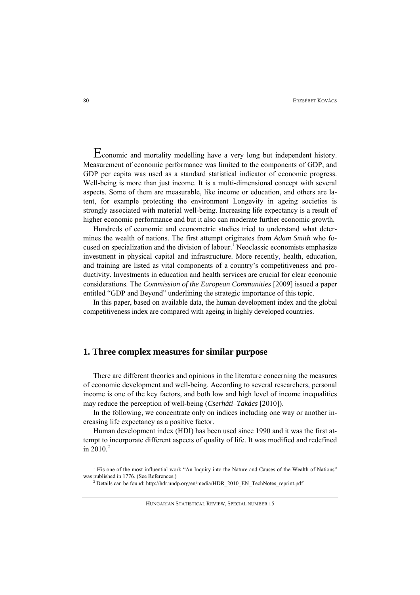Economic and mortality modelling have a very long but independent history. Measurement of economic performance was limited to the components of GDP, and GDP per capita was used as a standard statistical indicator of economic progress. Well-being is more than just income. It is a multi-dimensional concept with several aspects. Some of them are measurable, like income or education, and others are latent, for example protecting the environment Longevity in ageing societies is strongly associated with material well-being. Increasing life expectancy is a result of higher economic performance and but it also can moderate further economic growth.

Hundreds of economic and econometric studies tried to understand what determines the wealth of nations. The first attempt originates from *Adam Smith* who focused on specialization and the division of labour.<sup>1</sup> Neoclassic economists emphasize investment in physical capital and infrastructure. More recently, health, education, and training are listed as vital components of a country's competitiveness and productivity. Investments in education and health services are crucial for clear economic considerations. The *Commission of the European Communities* [2009] issued a paper entitled "GDP and Beyond" underlining the strategic importance of this topic.

In this paper, based on available data, the human development index and the global competitiveness index are compared with ageing in highly developed countries.

### **1. Three complex measures for similar purpose**

There are different theories and opinions in the literature concerning the measures of economic development and well-being. According to several researchers, personal income is one of the key factors, and both low and high level of income inequalities may reduce the perception of well-being (*Cserháti–Takács* [2010]).

In the following, we concentrate only on indices including one way or another increasing life expectancy as a positive factor.

Human development index (HDI) has been used since 1990 and it was the first attempt to incorporate different aspects of quality of life. It was modified and redefined in  $2010.<sup>2</sup>$ 

<sup>&</sup>lt;sup>1</sup> His one of the most influential work "An Inquiry into the Nature and Causes of the Wealth of Nations" was published in 1776. (See References.)

Details can be found: http://hdr.undp.org/en/media/HDR\_2010\_EN\_TechNotes\_reprint.pdf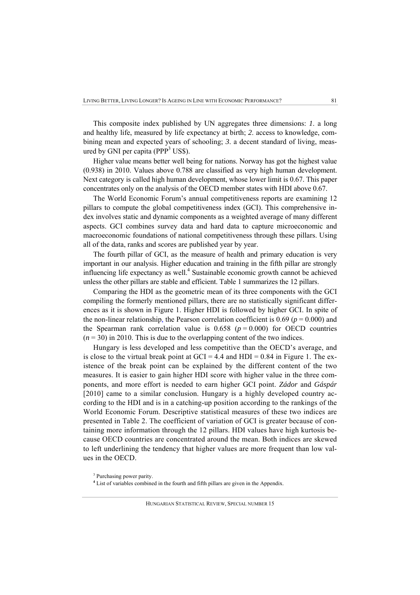This composite index published by UN aggregates three dimensions: *1*. a long and healthy life, measured by life expectancy at birth; *2*. access to knowledge, combining mean and expected years of schooling; *3*. a decent standard of living, measured by GNI per capita (PPP $3$  US\$).

Higher value means better well being for nations. Norway has got the highest value (0.938) in 2010. Values above 0.788 are classified as very high human development. Next category is called high human development, whose lower limit is 0.67. This paper concentrates only on the analysis of the OECD member states with HDI above 0.67.

The World Economic Forum's annual competitiveness reports are examining 12 pillars to compute the global competitiveness index (GCI). This comprehensive index involves static and dynamic components as a weighted average of many different aspects. GCI combines survey data and hard data to capture microeconomic and macroeconomic foundations of national competitiveness through these pillars. Using all of the data, ranks and scores are published year by year.

The fourth pillar of GCI, as the measure of health and primary education is very important in our analysis. Higher education and training in the fifth pillar are strongly influencing life expectancy as well. $<sup>4</sup>$  Sustainable economic growth cannot be achieved</sup> unless the other pillars are stable and efficient. Table 1 summarizes the 12 pillars.

Comparing the HDI as the geometric mean of its three components with the GCI compiling the formerly mentioned pillars, there are no statistically significant differences as it is shown in Figure 1. Higher HDI is followed by higher GCI. In spite of the non-linear relationship, the Pearson correlation coefficient is  $0.69$  ( $p = 0.000$ ) and the Spearman rank correlation value is  $0.658$  ( $p = 0.000$ ) for OECD countries  $(n = 30)$  in 2010. This is due to the overlapping content of the two indices.

Hungary is less developed and less competitive than the OECD's average, and is close to the virtual break point at  $GCI = 4.4$  and  $HDI = 0.84$  in Figure 1. The existence of the break point can be explained by the different content of the two measures. It is easier to gain higher HDI score with higher value in the three components, and more effort is needed to earn higher GCI point. *Zádor* and *Gáspár* [2010] came to a similar conclusion. Hungary is a highly developed country according to the HDI and is in a catching-up position according to the rankings of the World Economic Forum. Descriptive statistical measures of these two indices are presented in Table 2. The coefficient of variation of GCI is greater because of containing more information through the 12 pillars. HDI values have high kurtosis because OECD countries are concentrated around the mean. Both indices are skewed to left underlining the tendency that higher values are more frequent than low values in the OECD.

<sup>&</sup>lt;sup>3</sup> Purchasing power parity.

<sup>&</sup>lt;sup>4</sup> List of variables combined in the fourth and fifth pillars are given in the Appendix.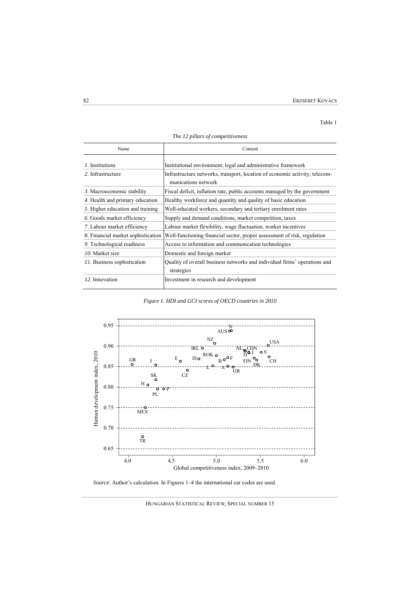#### Table 1

| Name                               | Content                                                                                            |
|------------------------------------|----------------------------------------------------------------------------------------------------|
| 1. Institutions                    | Institutional environment, legal and administrative framework                                      |
| 2. Infrastructure                  | Infrastructure networks, transport, location of economic activity, telecom-<br>munications network |
| 3. Macroeconomic stability         | Fiscal deficit, inflation rate, public accounts managed by the government                          |
| 4. Health and primary education    | Healthy workforce and quantity and quality of basic education                                      |
| 5. Higher education and training   | Well-educated workers, secondary and tertiary enrolment rates                                      |
| 6. Goods market efficiency         | Supply and demand conditions, market competition, taxes                                            |
| 7. Labour market efficiency        | Labour market flexibility, wage fluctuation, worker incentives                                     |
| 8. Financial market sophistication | Well-functioning financial sector, proper assessment of risk, regulation                           |
| 9. Technological readiness         | Access to information and communication technologies                                               |
| 10. Market size                    | Domestic and foreign market                                                                        |
| 11. Business sophistication        | Quality of overall business networks and individual firms' operations and<br>strategies            |
| 12. Innovation                     | Investment in research and development                                                             |

*The 12 pillars of competitiveness* 

*Figure 1. HDI and GCI scores of OECD countries in 2010* 



*Source*: Author's calculation. In Figures 1–4 the international car codes are used.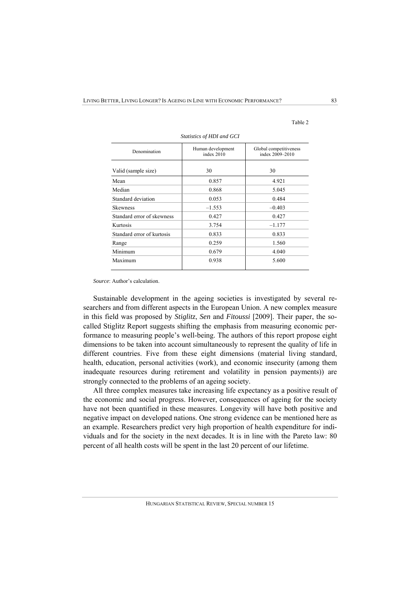| Statistics of HDI and GCI  |                                   |                                           |  |  |
|----------------------------|-----------------------------------|-------------------------------------------|--|--|
| Denomination               | Human development<br>index $2010$ | Global competitiveness<br>index 2009-2010 |  |  |
| Valid (sample size)        | 30                                | 30                                        |  |  |
| Mean                       | 0.857                             | 4.921                                     |  |  |
| Median                     | 0.868                             | 5.045                                     |  |  |
| Standard deviation         | 0.053                             | 0.484                                     |  |  |
| Skewness                   | $-1.553$                          | $-0.403$                                  |  |  |
| Standard error of skewness | 0.427                             | 0.427                                     |  |  |
| Kurtosis                   | 3.754                             | $-1.177$                                  |  |  |
| Standard error of kurtosis | 0.833                             | 0.833                                     |  |  |
|                            | 0.259                             | 1.560                                     |  |  |
|                            | 0.679                             | 4.040                                     |  |  |
| Maximum                    | 0.938                             | 5.600                                     |  |  |
| Range<br>Minimum           |                                   |                                           |  |  |

Table 2

*Source*: Author's calculation.

Sustainable development in the ageing societies is investigated by several researchers and from different aspects in the European Union. A new complex measure in this field was proposed by *Stiglitz*, *Sen* and *Fitoussi* [2009]. Their paper, the socalled Stiglitz Report suggests shifting the emphasis from measuring economic performance to measuring people's well-being. The authors of this report propose eight dimensions to be taken into account simultaneously to represent the quality of life in different countries. Five from these eight dimensions (material living standard, health, education, personal activities (work), and economic insecurity (among them inadequate resources during retirement and volatility in pension payments)) are strongly connected to the problems of an ageing society.

All three complex measures take increasing life expectancy as a positive result of the economic and social progress. However, consequences of ageing for the society have not been quantified in these measures. Longevity will have both positive and negative impact on developed nations. One strong evidence can be mentioned here as an example. Researchers predict very high proportion of health expenditure for individuals and for the society in the next decades. It is in line with the Pareto law: 80 percent of all health costs will be spent in the last 20 percent of our lifetime.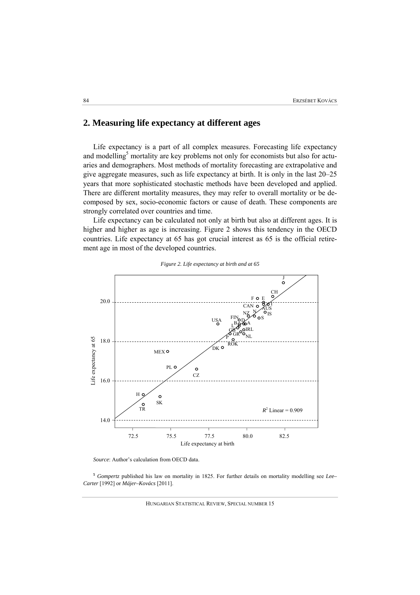# **2. Measuring life expectancy at different ages**

Life expectancy is a part of all complex measures. Forecasting life expectancy and modelling<sup>5</sup> mortality are key problems not only for economists but also for actuaries and demographers. Most methods of mortality forecasting are extrapolative and give aggregate measures, such as life expectancy at birth. It is only in the last 20–25 years that more sophisticated stochastic methods have been developed and applied. There are different mortality measures, they may refer to overall mortality or be decomposed by sex, socio-economic factors or cause of death. These components are strongly correlated over countries and time.

Life expectancy can be calculated not only at birth but also at different ages. It is higher and higher as age is increasing. Figure 2 shows this tendency in the OECD countries. Life expectancy at 65 has got crucial interest as 65 is the official retirement age in most of the developed countries.



*Figure 2. Life expectancy at birth and at 65* 

*Source*: Author's calculation from OECD data.

**<sup>5</sup>** *Gompertz* published his law on mortality in 1825. For further details on mortality modelling see *Lee– Carter* [1992] or *Májer–Kovács* [2011].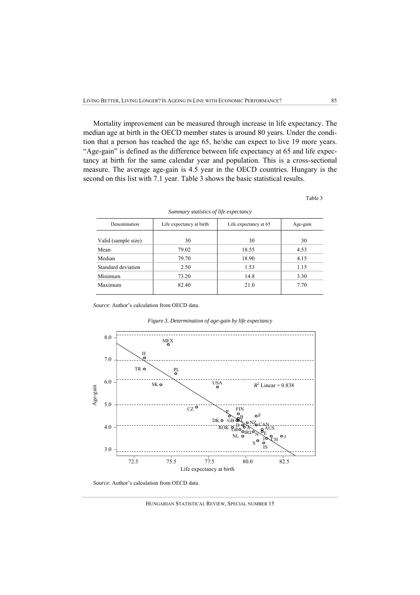Mortality improvement can be measured through increase in life expectancy. The median age at birth in the OECD member states is around 80 years. Under the condition that a person has reached the age 65, he/she can expect to live 19 more years. "Age-gain" is defined as the difference between life expectancy at 65 and life expectancy at birth for the same calendar year and population. This is a cross-sectional measure. The average age-gain is 4.5 year in the OECD countries. Hungary is the second on this list with 7.1 year. Table 3 shows the basic statistical results.

|--|--|

| Denomination        | Life expectancy at birth | Life expectancy at 65 | Age-gain |
|---------------------|--------------------------|-----------------------|----------|
| Valid (sample size) | 30                       | 30                    | 30       |
| Mean                | 79.02                    | 18.55                 | 4.53     |
| Median              | 79.70                    | 18.90                 | 4.15     |
| Standard deviation  | 2.50                     | 1.53                  | 1.15     |
| Minimum             | 73.20                    | 14.8                  | 3.30     |
| Maximum             | 82.40                    | 21.0                  | 7.70     |

*Summary statistics of life expectancy* 

*Source*: Author's calculation from OECD data.

*Figure 3. Determination of age-gain by life expectancy* 



*Source*: Author's calculation from OECD data.

HUNGARIAN STATISTICAL REVIEW, SPECIAL NUMBER 15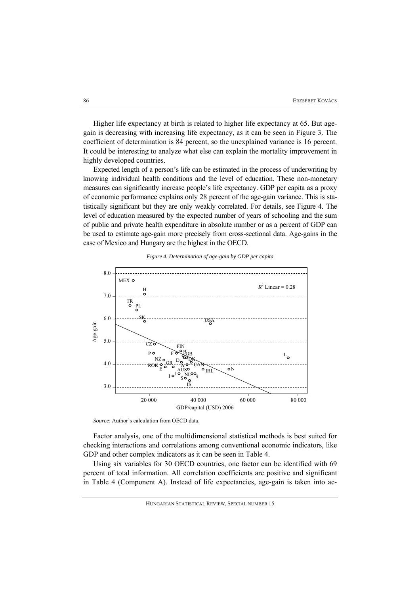Higher life expectancy at birth is related to higher life expectancy at 65. But agegain is decreasing with increasing life expectancy, as it can be seen in Figure 3. The coefficient of determination is 84 percent, so the unexplained variance is 16 percent. It could be interesting to analyze what else can explain the mortality improvement in highly developed countries.

Expected length of a person's life can be estimated in the process of underwriting by knowing individual health conditions and the level of education. These non-monetary measures can significantly increase people's life expectancy. GDP per capita as a proxy of economic performance explains only 28 percent of the age-gain variance. This is statistically significant but they are only weakly correlated. For details, see Figure 4. The level of education measured by the expected number of years of schooling and the sum of public and private health expenditure in absolute number or as a percent of GDP can be used to estimate age-gain more precisely from cross-sectional data. Age-gains in the case of Mexico and Hungary are the highest in the OECD.



#### *Figure 4. Determination of age-gain by GDP per capita*

*Source*: Author's calculation from OECD data.

Factor analysis, one of the multidimensional statistical methods is best suited for checking interactions and correlations among conventional economic indicators, like GDP and other complex indicators as it can be seen in Table 4.

Using six variables for 30 OECD countries, one factor can be identified with 69 percent of total information. All correlation coefficients are positive and significant in Table 4 (Component A). Instead of life expectancies, age-gain is taken into ac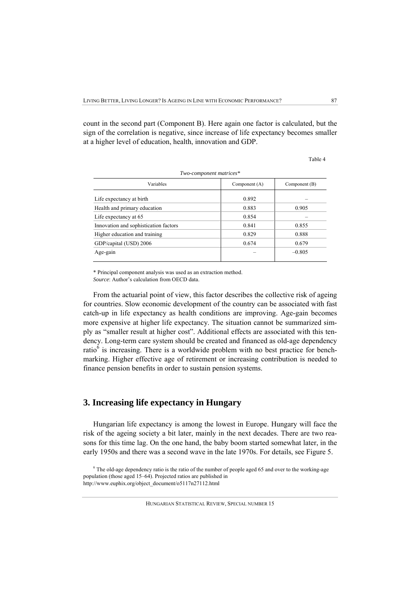count in the second part (Component B). Here again one factor is calculated, but the sign of the correlation is negative, since increase of life expectancy becomes smaller at a higher level of education, health, innovation and GDP.

Table 4

| Variables                             | Component (A) | Component (B) |
|---------------------------------------|---------------|---------------|
| Life expectancy at birth              | 0.892         |               |
| Health and primary education          | 0.883         | 0.905         |
| Life expectancy at 65                 | 0.854         |               |
| Innovation and sophistication factors | 0.841         | 0.855         |
| Higher education and training         | 0.829         | 0.888         |
| GDP/capital (USD) 2006                | 0.674         | 0.679         |
| Age-gain                              |               | $-0.805$      |

\* Principal component analysis was used as an extraction method. *Source*: Author's calculation from OECD data.

From the actuarial point of view, this factor describes the collective risk of ageing for countries. Slow economic development of the country can be associated with fast catch-up in life expectancy as health conditions are improving. Age-gain becomes more expensive at higher life expectancy. The situation cannot be summarized simply as "smaller result at higher cost". Additional effects are associated with this tendency. Long-term care system should be created and financed as old-age dependency ratio<sup>6</sup> is increasing. There is a worldwide problem with no best practice for benchmarking. Higher effective age of retirement or increasing contribution is needed to finance pension benefits in order to sustain pension systems.

### **3. Increasing life expectancy in Hungary**

Hungarian life expectancy is among the lowest in Europe. Hungary will face the risk of the ageing society a bit later, mainly in the next decades. There are two reasons for this time lag. On the one hand, the baby boom started somewhat later, in the early 1950s and there was a second wave in the late 1970s. For details, see Figure 5.

<sup>&</sup>lt;sup>6</sup> The old-age dependency ratio is the ratio of the number of people aged 65 and over to the working-age population (those aged 15–64). Projected ratios are published in http://www.euphix.org/object\_document/o5117n27112.html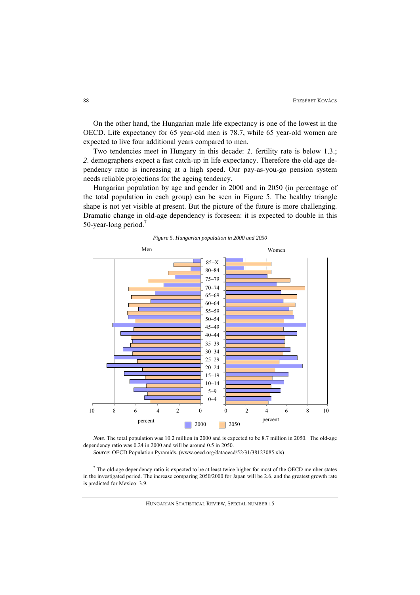On the other hand, the Hungarian male life expectancy is one of the lowest in the OECD. Life expectancy for 65 year-old men is 78.7, while 65 year-old women are expected to live four additional years compared to men.

Two tendencies meet in Hungary in this decade: *1*. fertility rate is below 1.3.; *2*. demographers expect a fast catch-up in life expectancy. Therefore the old-age dependency ratio is increasing at a high speed. Our pay-as-you-go pension system needs reliable projections for the ageing tendency.

Hungarian population by age and gender in 2000 and in 2050 (in percentage of the total population in each group) can be seen in Figure 5. The healthy triangle shape is not yet visible at present. But the picture of the future is more challenging. Dramatic change in old-age dependency is foreseen: it is expected to double in this 50-year-long period.<sup>7</sup>





*Note*. The total population was 10.2 million in 2000 and is expected to be 8.7 million in 2050. The old-age dependency ratio was 0.24 in 2000 and will be around 0.5 in 2050.

*Source*: OECD Population Pyramids. (www.oecd.org/dataoecd/52/31/38123085.xls)

<sup>7</sup> The old-age dependency ratio is expected to be at least twice higher for most of the OECD member states in the investigated period. The increase comparing 2050/2000 for Japan will be 2.6, and the greatest growth rate is predicted for Mexico: 3.9.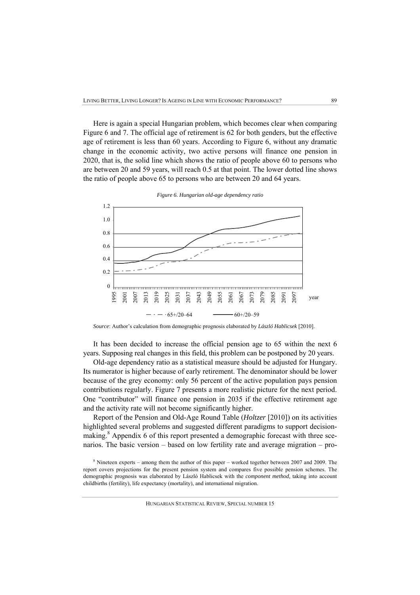Here is again a special Hungarian problem, which becomes clear when comparing Figure 6 and 7. The official age of retirement is 62 for both genders, but the effective age of retirement is less than 60 years. According to Figure 6, without any dramatic change in the economic activity, two active persons will finance one pension in 2020, that is, the solid line which shows the ratio of people above 60 to persons who are between 20 and 59 years, will reach 0.5 at that point. The lower dotted line shows the ratio of people above 65 to persons who are between 20 and 64 years.



*Figure 6. Hungarian old-age dependency ratio* 

It has been decided to increase the official pension age to 65 within the next 6 years. Supposing real changes in this field, this problem can be postponed by 20 years.

Old-age dependency ratio as a statistical measure should be adjusted for Hungary. Its numerator is higher because of early retirement. The denominator should be lower because of the grey economy: only 56 percent of the active population pays pension contributions regularly. Figure 7 presents a more realistic picture for the next period. One "contributor" will finance one pension in 2035 if the effective retirement age and the activity rate will not become significantly higher.

Report of the Pension and Old-Age Round Table (*Holtzer* [2010]) on its activities highlighted several problems and suggested different paradigms to support decisionmaking.<sup>8</sup> Appendix 6 of this report presented a demographic forecast with three scenarios. The basic version – based on low fertility rate and average migration – pro-

<sup>8</sup> Nineteen experts – among them the author of this paper – worked together between 2007 and 2009. The report covers projections for the present pension system and compares five possible pension schemes. The demographic prognosis was elaborated by László Hablicsek with the *component method,* taking into account childbirths (fertility), life expectancy (mortality), and international migration.

*Source*: Author's calculation from demographic prognosis elaborated by *László Hablicsek* [2010].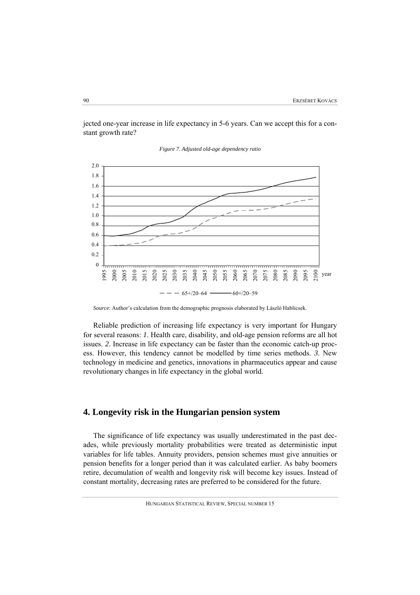jected one-year increase in life expectancy in 5-6 years. Can we accept this for a constant growth rate?



*Figure 7. Adjusted old-age dependency ratio* 

*Source*: Author's calculation from the demographic prognosis elaborated by László Hablicsek.

Reliable prediction of increasing life expectancy is very important for Hungary for several reasons: *1*. Health care, disability, and old-age pension reforms are all hot issues. *2*. Increase in life expectancy can be faster than the economic catch-up process. However, this tendency cannot be modelled by time series methods. *3*. New technology in medicine and genetics, innovations in pharmaceutics appear and cause revolutionary changes in life expectancy in the global world.

# **4. Longevity risk in the Hungarian pension system**

The significance of life expectancy was usually underestimated in the past decades, while previously mortality probabilities were treated as deterministic input variables for life tables. Annuity providers, pension schemes must give annuities or pension benefits for a longer period than it was calculated earlier. As baby boomers retire, decumulation of wealth and longevity risk will become key issues. Instead of constant mortality, decreasing rates are preferred to be considered for the future.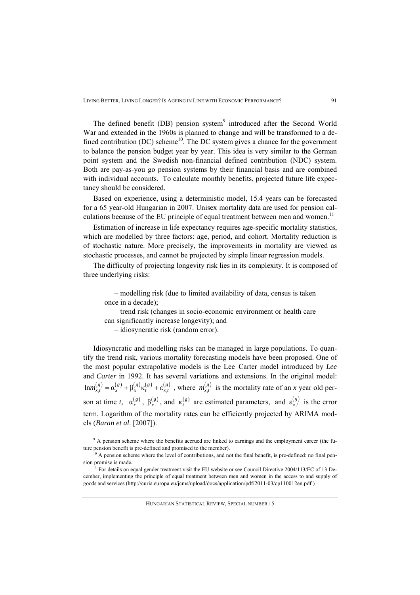The defined benefit (DB) pension system<sup>9</sup> introduced after the Second World War and extended in the 1960s is planned to change and will be transformed to a defined contribution (DC) scheme<sup>10</sup>. The DC system gives a chance for the government to balance the pension budget year by year. This idea is very similar to the German point system and the Swedish non-financial defined contribution (NDC) system. Both are pay-as-you go pension systems by their financial basis and are combined with individual accounts. To calculate monthly benefits, projected future life expectancy should be considered.

Based on experience, using a deterministic model, 15.4 years can be forecasted for a 65 year-old Hungarian in 2007. Unisex mortality data are used for pension calculations because of the EU principle of equal treatment between men and women.<sup>11</sup>

Estimation of increase in life expectancy requires age-specific mortality statistics, which are modelled by three factors: age, period, and cohort. Mortality reduction is of stochastic nature. More precisely, the improvements in mortality are viewed as stochastic processes, and cannot be projected by simple linear regression models.

The difficulty of projecting longevity risk lies in its complexity. It is composed of three underlying risks:

– modelling risk (due to limited availability of data, census is taken once in a decade);

– trend risk (changes in socio-economic environment or health care can significantly increase longevity); and

– idiosyncratic risk (random error).

Idiosyncratic and modelling risks can be managed in large populations. To quantify the trend risk, various mortality forecasting models have been proposed. One of the most popular extrapolative models is the Lee–Carter model introduced by *Lee* and *Carter* in 1992. It has several variations and extensions. In the original model:  $\lim_{x,t} (s) = \alpha_x^{(g)} + \beta_x^{(g)} \kappa_t^{(g)} + \varepsilon_{x,t}^{(g)}$ , where  $m_{x,t}^{(g)}$  is the mortality rate of an *x* year old person at time *t*,  $\alpha_x^{(g)}$ ,  $\beta_x^{(g)}$ , and  $\kappa_t^{(g)}$  are estimated parameters, and  $\epsilon_{x,t}^{(g)}$  is the error term. Logarithm of the mortality rates can be efficiently projected by ARIMA models (*Baran et al*. [2007]).

<sup>&</sup>lt;sup>9</sup> A pension scheme where the benefits accrued are linked to earnings and the employment career (the future pension benefit is pre-defined and promised to the member).<br><sup>10</sup> A pension scheme where the level of contributions, and not the final benefit, is pre-defined: no final pen-

sion promise is made.

 $11$  For details on equal gender treatment visit the EU website or see Council Directive 2004/113/EC of 13 December, implementing the principle of equal treatment between men and women in the access to and supply of goods and services (http://curia.europa.eu/jcms/upload/docs/application/pdf/2011-03/cp110012en.pdf )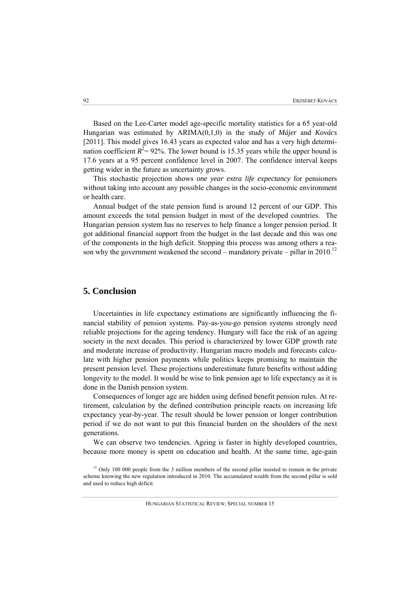Based on the Lee-Carter model age-specific mortality statistics for a 65 year-old Hungarian was estimated by ARIMA(0,1,0) in the study of *Májer* and *Kovács*  [2011]. This model gives 16.43 years as expected value and has a very high determination coefficient  $R^2 = 92\%$ . The lower bound is 15.35 years while the upper bound is 17.6 years at a 95 percent confidence level in 2007. The confidence interval keeps getting wider in the future as uncertainty grows.

This stochastic projection shows *one year extra life expectancy* for pensioners without taking into account any possible changes in the socio-economic environment or health care.

Annual budget of the state pension fund is around 12 percent of our GDP. This amount exceeds the total pension budget in most of the developed countries. The Hungarian pension system has no reserves to help finance a longer pension period. It got additional financial support from the budget in the last decade and this was one of the components in the high deficit. Stopping this process was among others a reason why the government weakened the second – mandatory private – pillar in 2010.<sup>12</sup>

# **5. Conclusion**

Uncertainties in life expectancy estimations are significantly influencing the financial stability of pension systems. Pay-as-you-go pension systems strongly need reliable projections for the ageing tendency. Hungary will face the risk of an ageing society in the next decades. This period is characterized by lower GDP growth rate and moderate increase of productivity. Hungarian macro models and forecasts calculate with higher pension payments while politics keeps promising to maintain the present pension level. These projections underestimate future benefits without adding longevity to the model. It would be wise to link pension age to life expectancy as it is done in the Danish pension system.

Consequences of longer age are hidden using defined benefit pension rules. At retirement, calculation by the defined contribution principle reacts on increasing life expectancy year-by-year. The result should be lower pension or longer contribution period if we do not want to put this financial burden on the shoulders of the next generations.

We can observe two tendencies. Ageing is faster in highly developed countries, because more money is spent on education and health. At the same time, age-gain

 $12$  Only 100 000 people from the 3 million members of the second pillar insisted to remain in the private scheme knowing the new regulation introduced in 2010. The accumulated wealth from the second pillar is sold and used to reduce high deficit.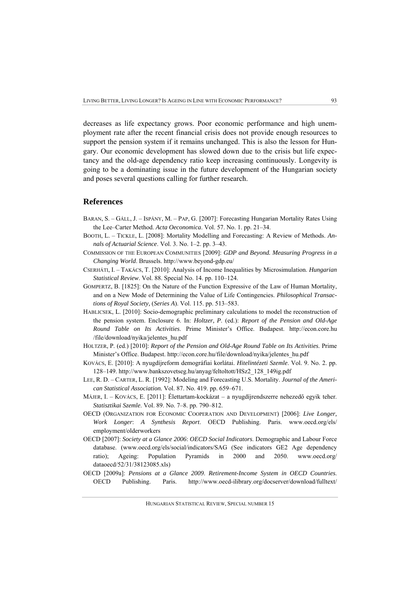decreases as life expectancy grows. Poor economic performance and high unemployment rate after the recent financial crisis does not provide enough resources to support the pension system if it remains unchanged. This is also the lesson for Hungary. Our economic development has slowed down due to the crisis but life expectancy and the old-age dependency ratio keep increasing continuously. Longevity is going to be a dominating issue in the future development of the Hungarian society and poses several questions calling for further research.

#### **References**

- BARAN, S. GÁLL, J. ISPÁNY, M. PAP, G. [2007]: Forecasting Hungarian Mortality Rates Using the Lee–Carter Method. *Acta Oeconomica*. Vol. 57. No. 1. pp. 21–34.
- BOOTH, L. TICKLE, L. [2008]: Mortality Modelling and Forecasting: A Review of Methods. *Annals of Actuarial Science*. Vol. 3. No. 1–2. pp. 3–43.
- COMMISSION OF THE EUROPEAN COMMUNITIES [2009]: *GDP and Beyond. Measuring Progress in a Changing World*. Brussels. http://www.beyond-gdp.eu/
- CSERHÁTI, I. TAKÁCS, T. [2010]: Analysis of Income Inequalities by Microsimulation. *Hungarian Statistical Review*. Vol. 88. Special No. 14. pp. 110–124.
- GOMPERTZ, B. [1825]: On the Nature of the Function Expressive of the Law of Human Mortality, and on a New Mode of Determining the Value of Life Contingencies. *Philosophical Transactions of Royal Society,* (*Series A*). Vol. 115. pp. 513–583.
- HABLICSEK, L. [2010]: Socio-demographic preliminary calculations to model the reconstruction of the pension system. Enclosure 6. In: *Holtzer, P*. (ed.): *Report of the Pension and Old-Age Round Table on Its Activities*. Prime Minister's Office. Budapest. http://econ.core.hu /file/download/nyika/jelentes\_hu.pdf
- HOLTZER, P. (ed.) [2010]: *Report of the Pension and Old-Age Round Table on Its Activities*. Prime Minister's Office. Budapest. http://econ.core.hu/file/download/nyika/jelentes\_hu.pdf
- KOVÁCS, E. [2010]: A nyugdíjreform demográfiai korlátai. *Hitelintézeti Szemle*. Vol. 9. No. 2. pp. 128–149. http://www.bankszovetseg.hu/anyag/feltoltott/HSz2\_128\_149ig.pdf
- LEE, R. D. CARTER, L. R. [1992]: Modeling and Forecasting U.S. Mortality. *Journal of the American Statistical Association.* Vol. 87. No. 419. pp. 659–671.
- MÁJER, I. KOVÁCS, E. [2011]: Élettartam-kockázat a nyugdíjrendszerre nehezedő egyik teher. *Statisztikai Szemle*. Vol. 89. No. 7–8. pp. 790–812.
- OECD (ORGANIZATION FOR ECONOMIC COOPERATION AND DEVELOPMENT) [2006]: *Live Longer, Work Longer*: *A Synthesis Report*. OECD Publishing. Paris. www.oecd.org/els/ employment/olderworkers
- OECD [2007]: *Society at a Glance 2006*: *OECD Social Indicators*. Demographic and Labour Force database. (www.oecd.org/els/social/indicators/SAG (See indicators GE2 Age dependency ratio); Ageing: Population Pyramids in 2000 and 2050. www.oecd.org/ dataoecd/52/31/38123085.xls)
- OECD [2009a]: *Pensions at a Glance 2009*. *Retirement-Income System in OECD Countries*. OECD Publishing. Paris. http://www.oecd-ilibrary.org/docserver/download/fulltext/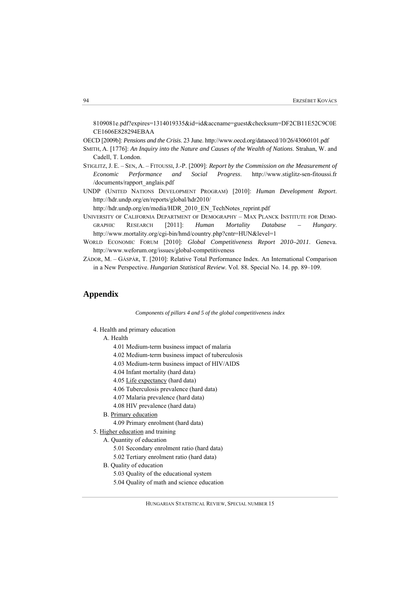8109081e.pdf?expires=1314019335&id=id&accname=guest&checksum=DF2CB11E52C9C0E CE1606E828294EBAA

OECD [2009b]: *Pensions and the Crisis*. 23 June. http://www.oecd.org/dataoecd/10/26/43060101.pdf

- SMITH, A. [1776]: *An Inquiry into the Nature and Causes of the Wealth of Nations*. Strahan, W. and Cadell, T. London.
- STIGLITZ, J. E. SEN, A. FITOUSSI, J.-P. [2009]: *Report by the Commission on the Measurement of Economic Performance and Social Progress*. http://www.stiglitz-sen-fitoussi.fr /documents/rapport\_anglais.pdf
- UNDP (UNITED NATIONS DEVELOPMENT PROGRAM) [2010]: *Human Development Report*. http://hdr.undp.org/en/reports/global/hdr2010/

http://hdr.undp.org/en/media/HDR\_2010\_EN\_TechNotes\_reprint.pdf

- UNIVERSITY OF CALIFORNIA DEPARTMENT OF DEMOGRAPHY MAX PLANCK INSTITUTE FOR DEMO-GRAPHIC RESEARCH [2011]: *Human Mortality Database – Hungary*. http://www.mortality.org/cgi-bin/hmd/country.php?cntr=HUN&level=1
- WORLD ECONOMIC FORUM [2010]: *Global Competitiveness Report 2010–2011*. Geneva. http://www.weforum.org/issues/global-competitiveness
- ZÁDOR, M. GÁSPÁR, T. [2010]: Relative Total Performance Index. An International Comparison in a New Perspective. *Hungarian Statistical Review*. Vol. 88. Special No. 14. pp. 89–109.

## **Appendix**

*Components of pillars 4 and 5 of the global competitiveness index* 

4. Health and primary education

#### A. Health

- 4.01 Medium-term business impact of malaria
- 4.02 Medium-term business impact of tuberculosis
- 4.03 Medium-term business impact of HIV/AIDS
- 4.04 Infant mortality (hard data)
- 4.05 Life expectancy (hard data)
- 4.06 Tuberculosis prevalence (hard data)
- 4.07 Malaria prevalence (hard data)
- 4.08 HIV prevalence (hard data)
- B. Primary education
	- 4.09 Primary enrolment (hard data)
- 5. Higher education and training

A. Quantity of education

- 5.01 Secondary enrolment ratio (hard data)
- 5.02 Tertiary enrolment ratio (hard data)
- B. Quality of education
	- 5.03 Quality of the educational system
	- 5.04 Quality of math and science education